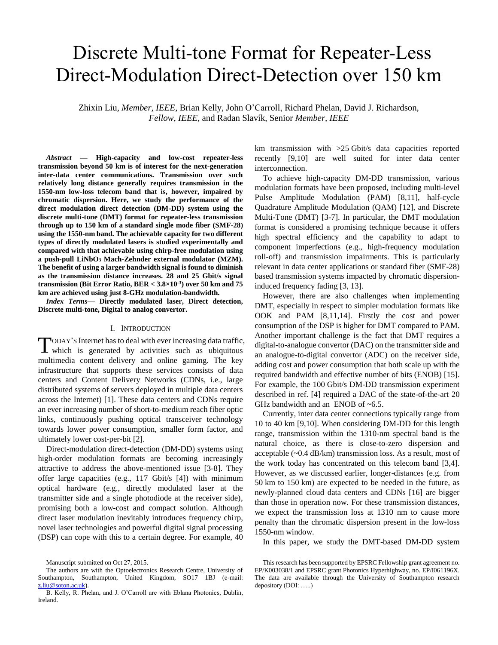# Discrete Multi-tone Format for Repeater-Less Direct-Modulation Direct-Detection over 150 km

Zhixin Liu, *Member, IEEE*, Brian Kelly, John O'Carroll, Richard Phelan, David J. Richardson, *Fellow, IEEE*, and Radan Slavík, Senior *Member, IEEE*

*Abstract* **— High-capacity and low-cost repeater-less transmission beyond 50 km is of interest for the next-generation inter-data center communications. Transmission over such relatively long distance generally requires transmission in the 1550-nm low-loss telecom band that is, however, impaired by chromatic dispersion. Here, we study the performance of the direct modulation direct detection (DM-DD) system using the discrete multi-tone (DMT) format for repeater-less transmission through up to 150 km of a standard single mode fiber (SMF-28) using the 1550-nm band. The achievable capacity for two different types of directly modulated lasers is studied experimentally and compared with that achievable using chirp-free modulation using a push-pull LiNbO<sup>3</sup> Mach-Zehnder external modulator (MZM). The benefit of using a larger bandwidth signal is found to diminish as the transmission distance increases. 28 and 25 Gbit/s signal transmission (Bit Error Ratio, BER < 3.8×10-3 ) over 50 km and 75 km are achieved using just 8-GHz modulation-bandwidth.** 

*Index Terms***— Directly modulated laser, Direct detection, Discrete multi-tone, Digital to analog convertor.**

#### I. INTRODUCTION

ODAY'S Internet has to deal with ever increasing data traffic, TODAY'S Internet has to deal with ever increasing data traffic,<br>which is generated by activities such as ubiquitous multimedia content delivery and online gaming. The key infrastructure that supports these services consists of data centers and Content Delivery Networks (CDNs, i.e., large distributed systems of servers deployed in multiple data centers across the Internet) [1]. These data centers and CDNs require an ever increasing number of short-to-medium reach fiber optic links, continuously pushing optical transceiver technology towards lower power consumption, smaller form factor, and ultimately lower cost-per-bit [2].

Direct-modulation direct-detection (DM-DD) systems using high-order modulation formats are becoming increasingly attractive to address the above-mentioned issue [3-8]. They offer large capacities (e.g., 117 Gbit/s [4]) with minimum optical hardware (e.g., directly modulated laser at the transmitter side and a single photodiode at the receiver side), promising both a low-cost and compact solution. Although direct laser modulation inevitably introduces frequency chirp, novel laser technologies and powerful digital signal processing (DSP) can cope with this to a certain degree. For example, 40 km transmission with >25 Gbit/s data capacities reported recently [9,10] are well suited for inter data center interconnection.

To achieve high-capacity DM-DD transmission, various modulation formats have been proposed, including multi-level Pulse Amplitude Modulation (PAM) [8,11], half-cycle Quadrature Amplitude Modulation (QAM) [12], and Discrete Multi-Tone (DMT) [3-7]. In particular, the DMT modulation format is considered a promising technique because it offers high spectral efficiency and the capability to adapt to component imperfections (e.g., high-frequency modulation roll-off) and transmission impairments. This is particularly relevant in data center applications or standard fiber (SMF-28) based transmission systems impacted by chromatic dispersioninduced frequency fading [3, 13].

However, there are also challenges when implementing DMT, especially in respect to simpler modulation formats like OOK and PAM [8,11,14]. Firstly the cost and power consumption of the DSP is higher for DMT compared to PAM. Another important challenge is the fact that DMT requires a digital-to-analogue convertor (DAC) on the transmitter side and an analogue-to-digital convertor (ADC) on the receiver side, adding cost and power consumption that both scale up with the required bandwidth and effective number of bits (ENOB) [15]. For example, the 100 Gbit/s DM-DD transmission experiment described in ref. [4] required a DAC of the state-of-the-art 20 GHz bandwidth and an ENOB of  $~6.5$ .

Currently, inter data center connections typically range from 10 to 40 km [9,10]. When considering DM-DD for this length range, transmission within the 1310-nm spectral band is the natural choice, as there is close-to-zero dispersion and acceptable (~0.4 dB/km) transmission loss. As a result, most of the work today has concentrated on this telecom band [3,4]. However, as we discussed earlier, longer-distances (e.g. from 50 km to 150 km) are expected to be needed in the future, as newly-planned cloud data centers and CDNs [16] are bigger than those in operation now. For these transmission distances, we expect the transmission loss at 1310 nm to cause more penalty than the chromatic dispersion present in the low-loss 1550-nm window.

In this paper, we study the DMT-based DM-DD system

Manuscript submitted on Oct 27, 2015.

The authors are with the Optoelectronics Research Centre, University of Southampton, Southampton, United Kingdom, SO17 1BJ (e-mail: [z.liu@soton.ac.uk\)](mailto:z.liu@soton.ac.uk).

B. Kelly, R. Phelan, and J. O'Carroll are with Eblana Photonics, Dublin, Ireland.

This research has been supported by EPSRC Fellowship grant agreement no. EP/K003038/1 and EPSRC grant Photonics Hyperhighway, no. EP/I061196X. The data are available through the University of Southampton research depository (DOI: …..)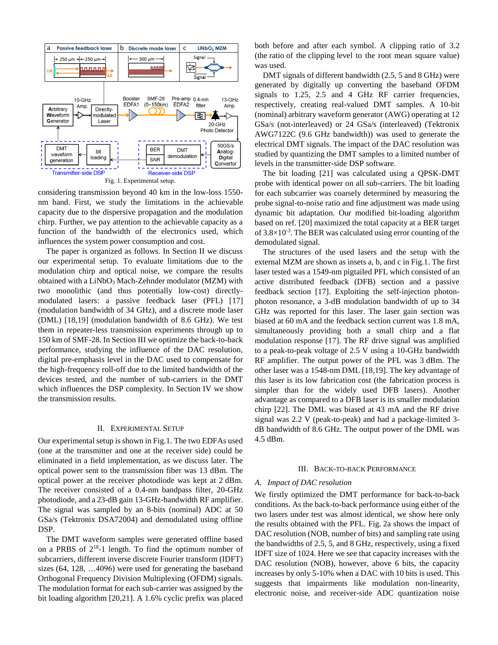

Fig. 1. Experimental setup.

considering transmission beyond 40 km in the low-loss 1550 nm band. First, we study the limitations in the achievable capacity due to the dispersive propagation and the modulation chirp. Further, we pay attention to the achievable capacity as a function of the bandwidth of the electronics used, which influences the system power consumption and cost.

The paper is organized as follows. In Section II we discuss our experimental setup. To evaluate limitations due to the modulation chirp and optical noise, we compare the results obtained with a  $LiNbO<sub>3</sub>$  Mach-Zehnder modulator (MZM) with two monolithic (and thus potentially low-cost) directlymodulated lasers: a passive feedback laser (PFL) [17] (modulation bandwidth of 34 GHz), and a discrete mode laser (DML) [18,19] (modulation bandwidth of 8.6 GHz). We test them in repeater-less transmission experiments through up to 150 km of SMF-28. In Section III we optimize the back-to-back performance, studying the influence of the DAC resolution, digital pre-emphasis level in the DAC used to compensate for the high-frequency roll-off due to the limited bandwidth of the devices tested, and the number of sub-carriers in the DMT which influences the DSP complexity. In Section IV we show the transmission results.

# II. EXPERIMENTAL SETUP

Our experimental setup is shown in Fig.1. The two EDFAs used (one at the transmitter and one at the receiver side) could be eliminated in a field implementation, as we discuss later. The optical power sent to the transmission fiber was 13 dBm. The optical power at the receiver photodiode was kept at 2 dBm. The receiver consisted of a 0.4-nm bandpass filter, 20-GHz photodiode, and a 23-dB gain 13-GHz-bandwidth RF amplifier. The signal was sampled by an 8-bits (nominal) ADC at 50 GSa/s (Tektronix DSA72004) and demodulated using offline DSP.

The DMT waveform samples were generated offline based on a PRBS of  $2^{18}$ -1 length. To find the optimum number of subcarriers, different inverse discrete Fourier transform (IDFT) sizes (64, 128, …4096) were used for generating the baseband Orthogonal Frequency Division Multiplexing (OFDM) signals. The modulation format for each sub-carrier was assigned by the bit loading algorithm [20,21]. A 1.6% cyclic prefix was placed

both before and after each symbol. A clipping ratio of 3.2 (the ratio of the clipping level to the root mean square value) was used.

DMT signals of different bandwidth (2.5, 5 and 8 GHz) were generated by digitally up converting the baseband OFDM signals to 1.25, 2.5 and 4 GHz RF carrier frequencies, respectively, creating real-valued DMT samples. A 10-bit (nominal) arbitrary waveform generator (AWG) operating at 12 GSa/s (not-interleaved) or 24 GSa/s (interleaved) (Tektronix AWG7122C (9.6 GHz bandwidth)) was used to generate the electrical DMT signals. The impact of the DAC resolution was studied by quantizing the DMT samples to a limited number of levels in the transmitter-side DSP software.

The bit loading [21] was calculated using a QPSK-DMT probe with identical power on all sub-carriers. The bit loading for each subcarrier was coarsely determined by measuring the probe signal-to-noise ratio and fine adjustment was made using dynamic bit adaptation. Our modified bit-loading algorithm based on ref. [20] maximized the total capacity at a BER target of  $3.8 \times 10^{-3}$ . The BER was calculated using error counting of the demodulated signal.

The structures of the used lasers and the setup with the external MZM are shown as insets a, b, and c in Fig.1. The first laser tested was a 1549-nm pigtailed PFL which consisted of an active distributed feedback (DFB) section and a passive feedback section [17]. Exploiting the self-injection photonphoton resonance, a 3-dB modulation bandwidth of up to 34 GHz was reported for this laser. The laser gain section was biased at 60 mA and the feedback section current was 1.8 mA, simultaneously providing both a small chirp and a flat modulation response [17]. The RF drive signal was amplified to a peak-to-peak voltage of 2.5 V using a 10-GHz bandwidth RF amplifier. The output power of the PFL was 3 dBm. The other laser was a 1548-nm DML [18,19]. The key advantage of this laser is its low fabrication cost (the fabrication process is simpler than for the widely used DFB lasers). Another advantage as compared to a DFB laser is its smaller modulation chirp [22]. The DML was biased at 43 mA and the RF drive signal was 2.2 V (peak-to-peak) and had a package-limited 3 dB bandwidth of 8.6 GHz. The output power of the DML was 4.5 dBm.

#### III. BACK-TO-BACK PERFORMANCE

### *A. Impact of DAC resolution*

We firstly optimized the DMT performance for back-to-back conditions. As the back-to-back performance using either of the two lasers under test was almost identical, we show here only the results obtained with the PFL. Fig. 2a shows the impact of DAC resolution (NOB, number of bits) and sampling rate using the bandwidths of 2.5, 5, and 8 GHz, respectively, using a fixed IDFT size of 1024. Here we see that capacity increases with the DAC resolution (NOB), however, above 6 bits, the capacity increases by only 5-10% when a DAC with 10 bits is used. This suggests that impairments like modulation non-linearity, electronic noise, and receiver-side ADC quantization noise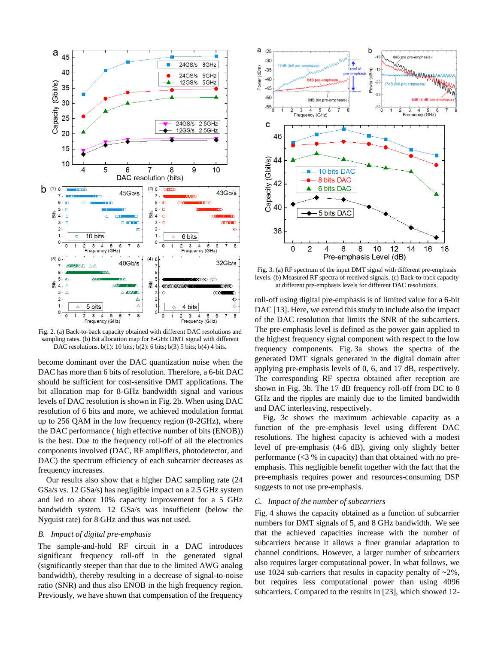

Fig. 2. (a) Back-to-back capacity obtained with different DAC resolutions and sampling rates. (b) Bit allocation map for 8-GHz DMT signal with different DAC resolutions. b(1): 10 bits; b(2): 6 bits; b(3) 5 bits; b(4) 4 bits.

become dominant over the DAC quantization noise when the DAC has more than 6 bits of resolution. Therefore, a 6-bit DAC should be sufficient for cost-sensitive DMT applications. The bit allocation map for 8-GHz bandwidth signal and various levels of DAC resolution is shown in Fig. 2b. When using DAC resolution of 6 bits and more, we achieved modulation format up to 256 QAM in the low frequency region (0-2GHz), where the DAC performance ( high effective number of bits (ENOB)) is the best. Due to the frequency roll-off of all the electronics components involved (DAC, RF amplifiers, photodetector, and DAC) the spectrum efficiency of each subcarrier decreases as frequency increases.

Our results also show that a higher DAC sampling rate (24 GSa/s vs. 12 GSa/s) has negligible impact on a 2.5 GHz system and led to about 10% capacity improvement for a 5 GHz bandwidth system. 12 GSa/s was insufficient (below the Nyquist rate) for 8 GHz and thus was not used.

# *B. Impact of digital pre-emphasis*

The sample-and-hold RF circuit in a DAC introduces significant frequency roll-off in the generated signal (significantly steeper than that due to the limited AWG analog bandwidth), thereby resulting in a decrease of signal-to-noise ratio (SNR) and thus also ENOB in the high frequency region. Previously, we have shown that compensation of the frequency



Fig. 3. (a) RF spectrum of the input DMT signal with different pre-emphasis levels. (b) Measured RF spectra of received signals. (c) Back-to-back capacity at different pre-emphasis levels for different DAC resolutions.

roll-off using digital pre-emphasis is of limited value for a 6-bit DAC [13]. Here, we extend this study to include also the impact of the DAC resolution that limits the SNR of the subcarriers. The pre-emphasis level is defined as the power gain applied to the highest frequency signal component with respect to the low frequency components. Fig. 3a shows the spectra of the generated DMT signals generated in the digital domain after applying pre-emphasis levels of 0, 6, and 17 dB, respectively. The corresponding RF spectra obtained after reception are shown in Fig. 3b. The 17 dB frequency roll-off from DC to 8 GHz and the ripples are mainly due to the limited bandwidth and DAC interleaving, respectively.

Fig. 3c shows the maximum achievable capacity as a function of the pre-emphasis level using different DAC resolutions. The highest capacity is achieved with a modest level of pre-emphasis (4-6 dB), giving only slightly better performance  $\langle$  <3 % in capacity) than that obtained with no preemphasis. This negligible benefit together with the fact that the pre-emphasis requires power and resources-consuming DSP suggests to not use pre-emphasis.

### *C. Impact of the number of subcarriers*

Fig. 4 shows the capacity obtained as a function of subcarrier numbers for DMT signals of 5, and 8 GHz bandwidth. We see that the achieved capacities increase with the number of subcarriers because it allows a finer granular adaptation to channel conditions. However, a larger number of subcarriers also requires larger computational power. In what follows, we use 1024 sub-carriers that results in capacity penalty of  $\sim$ 2%, but requires less computational power than using 4096 subcarriers. Compared to the results in [23], which showed 12-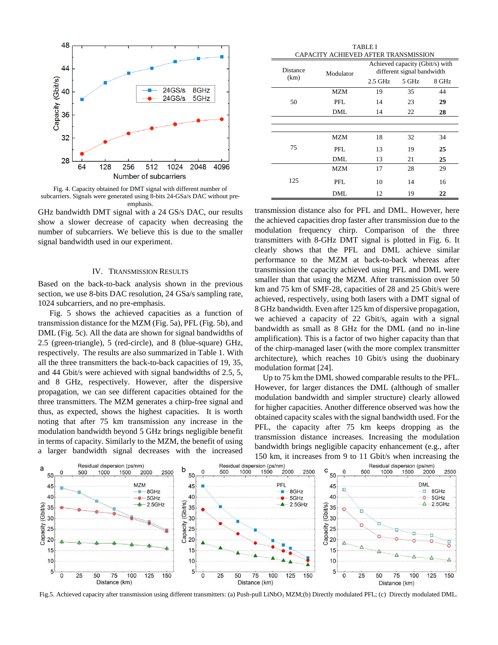

Fig. 4. Capacity obtained for DMT signal with different number of subcarriers. Signals were generated using 8-bits 24-GSa/s DAC without preemphasis.

GHz bandwidth DMT signal with a 24 GS/s DAC, our results show a slower decrease of capacity when decreasing the number of subcarriers. We believe this is due to the smaller signal bandwidth used in our experiment.

# IV. TRANSMISSION RESULTS

Based on the back-to-back analysis shown in the previous section, we use 8-bits DAC resolution, 24 GSa/s sampling rate, 1024 subcarriers, and no pre-emphasis.

Fig. 5 shows the achieved capacities as a function of transmission distance for the MZM (Fig. 5a), PFL (Fig. 5b), and DML (Fig. 5c). All the data are shown for signal bandwidths of 2.5 (green-triangle), 5 (red-circle), and 8 (blue-square) GHz, respectively. The results are also summarized in Table 1. With all the three transmitters the back-to-back capacities of 19, 35, and 44 Gbit/s were achieved with signal bandwidths of 2.5, 5, and 8 GHz, respectively. However, after the dispersive propagation, we can see different capacities obtained for the three transmitters. The MZM generates a chirp-free signal and thus, as expected, shows the highest capacities. It is worth noting that after 75 km transmission any increase in the modulation bandwidth beyond 5 GHz brings negligible benefit in terms of capacity. Similarly to the MZM, the benefit of using a larger bandwidth signal decreases with the increased

|  | <b>TABLE I</b><br>CAPACITY ACHIEVED AFTER TRANSMISSION |            |                                                               |       |       |  |
|--|--------------------------------------------------------|------------|---------------------------------------------------------------|-------|-------|--|
|  | Distance<br>(km)                                       | Modulator  | Achieved capacity (Gbit/s) with<br>different signal bandwidth |       |       |  |
|  |                                                        |            | $2.5$ GHz                                                     | 5 GHz | 8 GHz |  |
|  | 50                                                     | <b>MZM</b> | 19                                                            | 35    | 44    |  |
|  |                                                        | PFL.       | 14                                                            | 23    | 29    |  |
|  |                                                        | <b>DML</b> | 14                                                            | 22    | 28    |  |
|  |                                                        |            |                                                               |       |       |  |
|  |                                                        |            |                                                               |       |       |  |
|  |                                                        | <b>MZM</b> | 18                                                            | 32    | 34    |  |
|  | 75                                                     | PFL.       | 13                                                            | 19    | 25    |  |
|  |                                                        | DML        | 13                                                            | 21    | 25    |  |
|  | 125                                                    | <b>MZM</b> | 17                                                            | 28    | 29    |  |
|  |                                                        | PFL.       | 10                                                            | 14    | 16    |  |
|  |                                                        | DML        | 12                                                            | 19    | 22    |  |

transmission distance also for PFL and DML. However, here the achieved capacities drop faster after transmission due to the modulation frequency chirp. Comparison of the three transmitters with 8-GHz DMT signal is plotted in Fig. 6. It clearly shows that the PFL and DML achieve similar performance to the MZM at back-to-back whereas after transmission the capacity achieved using PFL and DML were smaller than that using the MZM. After transmission over 50 km and 75 km of SMF-28, capacities of 28 and 25 Gbit/s were achieved, respectively, using both lasers with a DMT signal of 8 GHz bandwidth. Even after 125 km of dispersive propagation, we achieved a capacity of 22 Gbit/s, again with a signal bandwidth as small as 8 GHz for the DML (and no in-line amplification). This is a factor of two higher capacity than that of the chirp-managed laser (with the more complex transmitter architecture), which reaches 10 Gbit/s using the duobinary modulation format [24].

Up to 75 km the DML showed comparable results to the PFL. However, for larger distances the DML (although of smaller modulation bandwidth and simpler structure) clearly allowed for higher capacities. Another difference observed was how the obtained capacity scales with the signal bandwidth used. For the PFL, the capacity after 75 km keeps dropping as the transmission distance increases. Increasing the modulation bandwidth brings negligible capacity enhancement (e.g., after 150 km, it increases from 9 to 11 Gbit/s when increasing the



Fig.5. Achieved capacity after transmission using different transmitters: (a) Push-pull LiNbO<sub>3</sub> MZM;(b) Directly modulated PFL; (c) Directly modulated DML.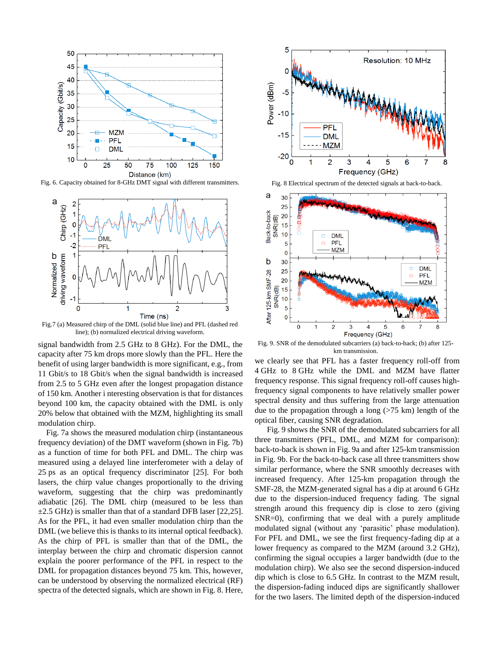

Fig. 6. Capacity obtained for 8-GHz DMT signal with different transmitters. Fig. 8 Electrical spectrum of the detected signals at back-to-back.



Fig.7 (a) Measured chirp of the DML (solid blue line) and PFL (dashed red line); (b) normalized electrical driving waveform.

signal bandwidth from 2.5 GHz to 8 GHz). For the DML, the capacity after 75 km drops more slowly than the PFL. Here the benefit of using larger bandwidth is more significant, e.g., from 11 Gbit/s to 18 Gbit/s when the signal bandwidth is increased from 2.5 to 5 GHz even after the longest propagation distance of 150 km. Another i nteresting observation is that for distances beyond 100 km, the capacity obtained with the DML is only 20% below that obtained with the MZM, highlighting its small modulation chirp.

Fig. 7a shows the measured modulation chirp (instantaneous frequency deviation) of the DMT waveform (shown in Fig. 7b) as a function of time for both PFL and DML. The chirp was measured using a delayed line interferometer with a delay of 25 ps as an optical frequency discriminator [25]. For both lasers, the chirp value changes proportionally to the driving waveform, suggesting that the chirp was predominantly adiabatic [26]. The DML chirp (measured to be less than  $\pm$ 2.5 GHz) is smaller than that of a standard DFB laser [22,25]. As for the PFL, it had even smaller modulation chirp than the DML (we believe this is thanks to its internal optical feedback). As the chirp of PFL is smaller than that of the DML, the interplay between the chirp and chromatic dispersion cannot explain the poorer performance of the PFL in respect to the DML for propagation distances beyond 75 km. This, however, can be understood by observing the normalized electrical (RF) spectra of the detected signals, which are shown in Fig. 8. Here,





Fig. 9. SNR of the demodulated subcarriers (a) back-to-back; (b) after 125 km transmission.

we clearly see that PFL has a faster frequency roll-off from 4 GHz to 8 GHz while the DML and MZM have flatter frequency response. This signal frequency roll-off causes highfrequency signal components to have relatively smaller power spectral density and thus suffering from the large attenuation due to the propagation through a long (>75 km) length of the optical fiber, causing SNR degradation.

Fig. 9 shows the SNR of the demodulated subcarriers for all three transmitters (PFL, DML, and MZM for comparison): back-to-back is shown in Fig. 9a and after 125-km transmission in Fig. 9b. For the back-to-back case all three transmitters show similar performance, where the SNR smoothly decreases with increased frequency. After 125-km propagation through the SMF-28, the MZM-generated signal has a dip at around 6 GHz due to the dispersion-induced frequency fading. The signal strength around this frequency dip is close to zero (giving SNR=0), confirming that we deal with a purely amplitude modulated signal (without any 'parasitic' phase modulation). For PFL and DML, we see the first frequency-fading dip at a lower frequency as compared to the MZM (around 3.2 GHz), confirming the signal occupies a larger bandwidth (due to the modulation chirp). We also see the second dispersion-induced dip which is close to 6.5 GHz. In contrast to the MZM result, the dispersion-fading induced dips are significantly shallower for the two lasers. The limited depth of the dispersion-induced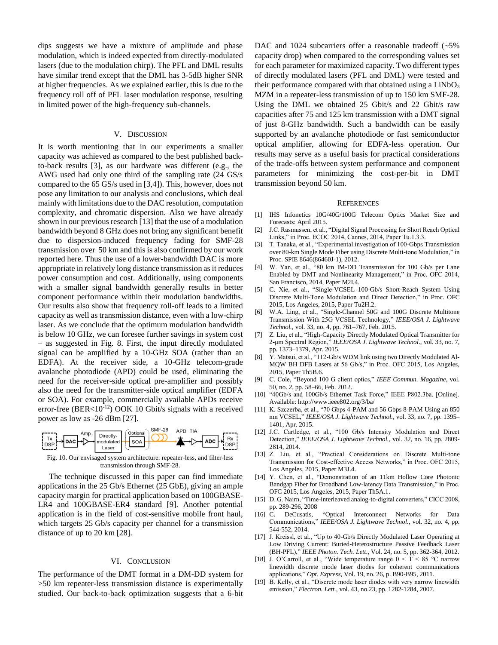dips suggests we have a mixture of amplitude and phase modulation, which is indeed expected from directly-modulated lasers (due to the modulation chirp). The PFL and DML results have similar trend except that the DML has 3-5dB higher SNR at higher frequencies. As we explained earlier, this is due to the frequency roll off of PFL laser modulation response, resulting in limited power of the high-frequency sub-channels.

# V. DISCUSSION

It is worth mentioning that in our experiments a smaller capacity was achieved as compared to the best published backto-back results [3], as our hardware was different (e.g., the AWG used had only one third of the sampling rate (24 GS/s compared to the 65 GS/s used in [3,4]). This, however, does not pose any limitation to our analysis and conclusions, which deal mainly with limitations due to the DAC resolution, computation complexity, and chromatic dispersion. Also we have already shown in our previous research [13] that the use of a modulation bandwidth beyond 8 GHz does not bring any significant benefit due to dispersion-induced frequency fading for SMF-28 transmission over 50 km and this is also confirmed by our work reported here. Thus the use of a lower-bandwidth DAC is more appropriate in relatively long distance transmission as it reduces power consumption and cost. Additionally, using components with a smaller signal bandwidth generally results in better component performance within their modulation bandwidths. Our results also show that frequency roll-off leads to a limited capacity as well as transmission distance, even with a low-chirp laser. As we conclude that the optimum modulation bandwidth is below 10 GHz, we can foresee further savings in system cost – as suggested in Fig. 8. First, the input directly modulated signal can be amplified by a 10-GHz SOA (rather than an EDFA). At the receiver side, a 10-GHz telecom-grade avalanche photodiode (APD) could be used, eliminating the need for the receiver-side optical pre-amplifier and possibly also the need for the transmitter-side optical amplifier (EDFA or SOA). For example, commercially available APDs receive error-free (BER<10-12) OOK 10 Gbit/s signals with a received power as low as -26 dBm [27].



Fig. 10. Our envisaged system architecture: repeater-less, and filter-less transmission through SMF-28.

The technique discussed in this paper can find immediate applications in the 25 Gb/s Ethernet (25 GbE), giving an ample capacity margin for practical application based on 100GBASE-LR4 and 100GBASE-ER4 standard [9]. Another potential application is in the field of cost-sensitive mobile front haul, which targets 25 Gb/s capacity per channel for a transmission distance of up to 20 km [28].

#### VI. CONCLUSION

The performance of the DMT format in a DM-DD system for >50 km repeater-less transmission distance is experimentally studied. Our back-to-back optimization suggests that a 6-bit

DAC and 1024 subcarriers offer a reasonable tradeoff (~5%) capacity drop) when compared to the corresponding values set for each parameter for maximized capacity. Two different types of directly modulated lasers (PFL and DML) were tested and their performance compared with that obtained using a  $LiNbO<sub>3</sub>$ MZM in a repeater-less transmission of up to 150 km SMF-28. Using the DML we obtained 25 Gbit/s and 22 Gbit/s raw capacities after 75 and 125 km transmission with a DMT signal of just 8-GHz bandwidth. Such a bandwidth can be easily supported by an avalanche photodiode or fast semiconductor optical amplifier, allowing for EDFA-less operation. Our results may serve as a useful basis for practical considerations of the trade-offs between system performance and component parameters for minimizing the cost-per-bit in DMT transmission beyond 50 km.

#### **REFERENCES**

- [1] IHS Infonetics 10G/40G/100G Telecom Optics Market Size and Forecasts: April 2015.
- [2] J.C. Rasmussen, et al., "Digital Signal Processing for Short Reach Optical Links," in Proc. ECOC 2014, Cannes, 2014, Paper Tu.1.3.3.
- [3] T. Tanaka, et al., "Experimental investigation of 100-Gbps Transmission over 80-km Single Mode Fiber using Discrete Multi-tone Modulation," in Proc. SPIE 8646(86460J-1), 2012.
- [4] W. Yan, et al., "80 km IM-DD Transmission for 100 Gb/s per Lane Enabled by DMT and Nonlinearity Management," in Proc. OFC 2014, San Francisco, 2014, Paper M2I.4.
- [5] C. Xie, et al., "Single-VCSEL 100-Gb/s Short-Reach System Using Discrete Multi-Tone Modulation and Direct Detection," in Proc. OFC 2015, Los Angeles, 2015, Paper Tu2H.2.
- [6] W.A. Ling, et al., "Single-Channel 50G and 100G Discrete Multitone Transmission With 25G VCSEL Technology," *IEEE/OSA J. Lightwave Technol.*, vol. 33, no. 4, pp. 761–767, Feb. 2015.
- [7] Z. Liu, et al., "High-Capacity Directly Modulated Optical Transmitter for 2-μm Spectral Region," *IEEE/OSA J. Lightwave Technol*., vol. 33, no. 7, pp. 1373–1379, Apr. 2015.
- [8] Y. Matsui, et al., "112-Gb/s WDM link using two Directly Modulated Al-MQW BH DFB Lasers at 56 Gb/s," in Proc. OFC 2015, Los Angeles, 2015, Paper Th5B.6.
- [9] C. Cole, "Beyond 100 G client optics," *IEEE Commun. Magazine*, vol. 50, no. 2, pp. 58–66, Feb. 2012.
- [10] "40Gb/s and 100Gb/s Ethernet Task Force," IEEE P802.3ba. [Online]. Available: http://www.ieee802.org/3/ba/
- [11] K. Szczerba, et al., "70 Gbps 4-PAM and 56 Gbps 8-PAM Using an 850 nm VCSEL," *IEEE/OSA J. Lightwave Technol.*, vol. 33, no. 7, pp. 1395– 1401, Apr. 2015.
- [12] J.C. Cartledge, et al., "100 Gb/s Intensity Modulation and Direct Detection," *IEEE/OSA J. Lightwave Technol.*, vol. 32, no. 16, pp. 2809- 2814, 2014.
- [13] Z. Liu, et al., "Practical Considerations on Discrete Multi-tone Transmission for Cost-effective Access Networks," in Proc. OFC 2015, Los Angeles, 2015, Paper M3J.4.
- [14] Y. Chen, et al., "Demonstration of an 11km Hollow Core Photonic Bandgap Fiber for Broadband Low-latency Data Transmission," in Proc. OFC 2015, Los Angeles, 2015, Paper Th5A.1.
- [15] D. G. Nairn, "Time-interleaved analog-to-digital converters," CICC 2008, pp. 289-296, 2008
- [16] C. DeCusatis, "Optical Interconnect Networks for Data Communications," *IEEE/OSA J. Lightwave Technol*., vol. 32, no. 4, pp. 544-552, 2014.
- [17] J. Kreissl, et al., "Up to 40-Gb/s Directly Modulated Laser Operating at Low Driving Current: Buried-Heterostructure Passive Feedback Laser (BH-PFL)," *IEEE Photon. Tech. Lett*., Vol. 24, no. 5, pp. 362-364, 2012.
- [18] J. O'Carroll, et al., "Wide temperature range  $0 < T < 85$  °C narrow linewidth discrete mode laser diodes for coherent communications applications," *Opt. Express*, Vol. 19, no. 26, p. B90-B95, 2011.
- [19] B. Kelly, et al., "Discrete mode laser diodes with very narrow linewidth emission," *Electron. Lett*., vol. 43, no.23, pp. 1282-1284, 2007.